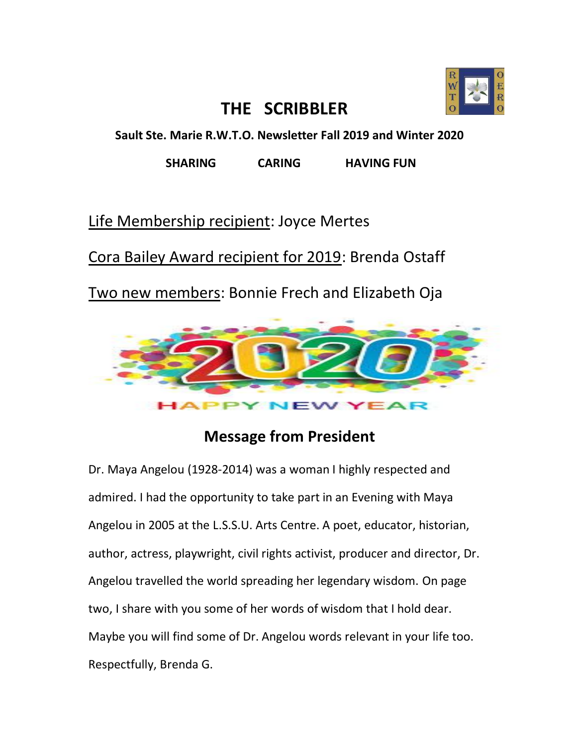

## **THE SCRIBBLER**

**Sault Ste. Marie R.W.T.O. Newsletter Fall 2019 and Winter 2020**

**SHARING CARING HAVING FUN** 

Life Membership recipient: Joyce Mertes

Cora Bailey Award recipient for 2019: Brenda Ostaff

Two new members: Bonnie Frech and Elizabeth Oja



## **Message from President**

Dr. Maya Angelou (1928-2014) was a woman I highly respected and admired. I had the opportunity to take part in an Evening with Maya Angelou in 2005 at the L.S.S.U. Arts Centre. A poet, educator, historian, author, actress, playwright, civil rights activist, producer and director, Dr. Angelou travelled the world spreading her legendary wisdom. On page two, I share with you some of her words of wisdom that I hold dear. Maybe you will find some of Dr. Angelou words relevant in your life too. Respectfully, Brenda G.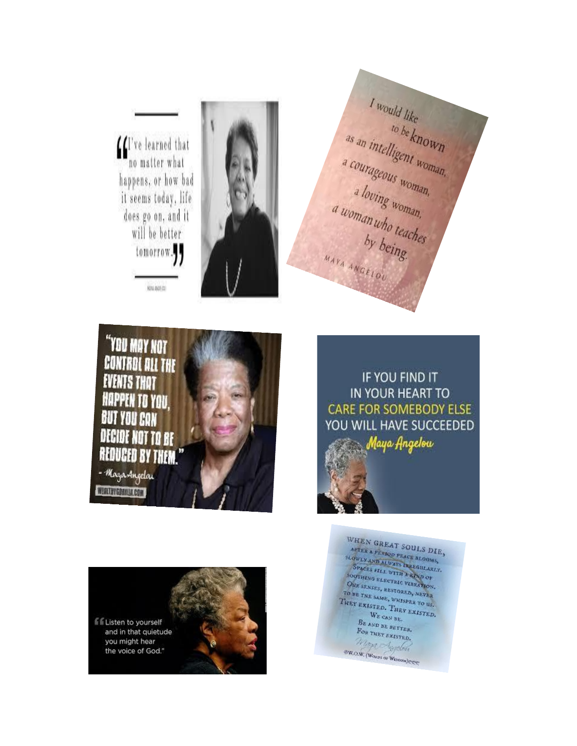We learned that<br>no matter what happens, or how bad it seems today, life does go on, and it will be better tomorrow.

**HAYA ANCHION** 



I would like<br>to be known<br>a courageous woman,<br>a loving woman,<br>a woman who teaches<br>by being. MATA ANGELOU



IF YOU FIND IT **IN YOUR HEART TO CARE FOR SOMEBODY ELSE** YOU WILL HAVE SUCCEEDED Maya Angelow

ff Listen to yourself and in that quietude you might hear the voice of God."

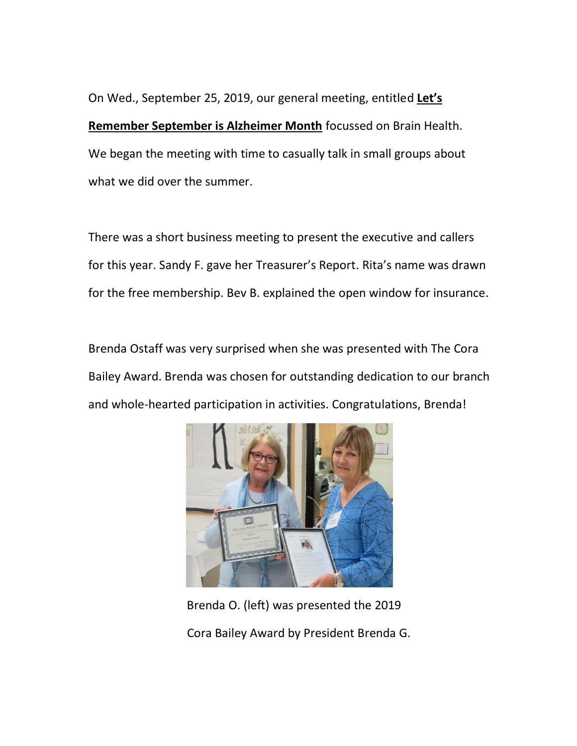On Wed., September 25, 2019, our general meeting, entitled **Let's Remember September is Alzheimer Month** focussed on Brain Health. We began the meeting with time to casually talk in small groups about what we did over the summer.

There was a short business meeting to present the executive and callers for this year. Sandy F. gave her Treasurer's Report. Rita's name was drawn for the free membership. Bev B. explained the open window for insurance.

Brenda Ostaff was very surprised when she was presented with The Cora Bailey Award. Brenda was chosen for outstanding dedication to our branch and whole-hearted participation in activities. Congratulations, Brenda!



 Brenda O. (left) was presented the 2019 Cora Bailey Award by President Brenda G.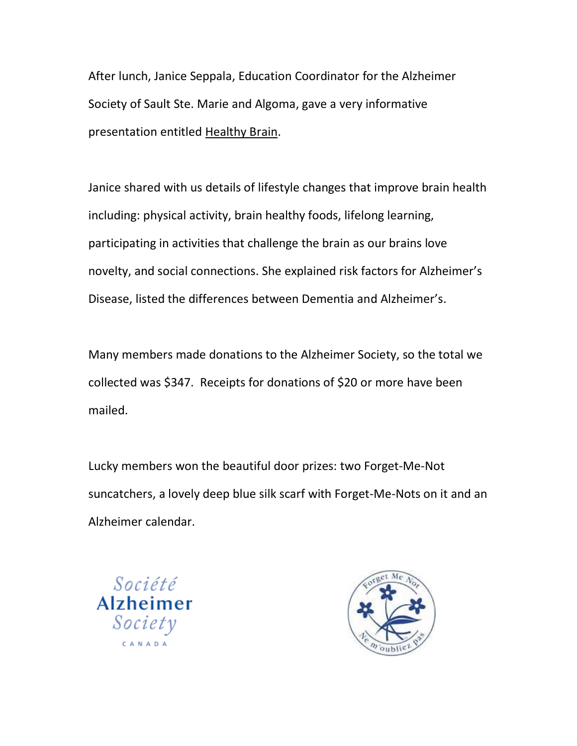After lunch, Janice Seppala, Education Coordinator for the Alzheimer Society of Sault Ste. Marie and Algoma, gave a very informative presentation entitled Healthy Brain.

Janice shared with us details of lifestyle changes that improve brain health including: physical activity, brain healthy foods, lifelong learning, participating in activities that challenge the brain as our brains love novelty, and social connections. She explained risk factors for Alzheimer's Disease, listed the differences between Dementia and Alzheimer's.

Many members made donations to the Alzheimer Society, so the total we collected was \$347. Receipts for donations of \$20 or more have been mailed.

Lucky members won the beautiful door prizes: two Forget-Me-Not suncatchers, a lovely deep blue silk scarf with Forget-Me-Nots on it and an Alzheimer calendar.



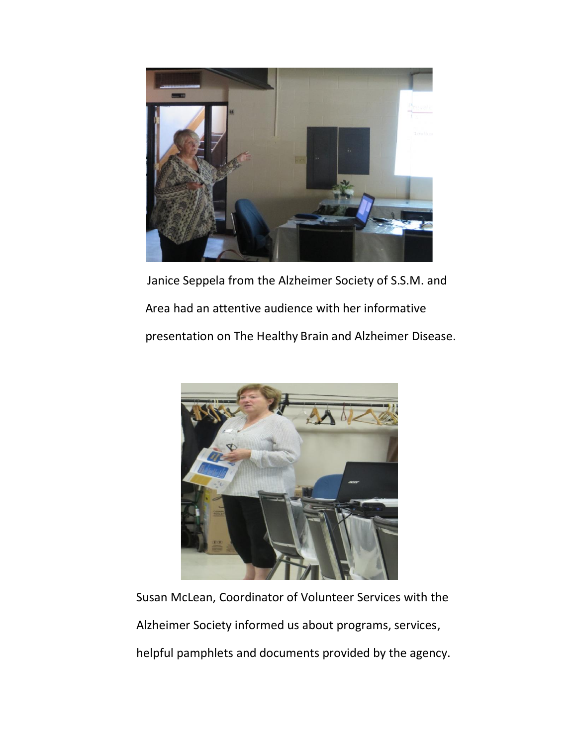

 Janice Seppela from the Alzheimer Society of S.S.M. and Area had an attentive audience with her informative presentation on The Healthy Brain and Alzheimer Disease.



Susan McLean, Coordinator of Volunteer Services with the Alzheimer Society informed us about programs, services,

helpful pamphlets and documents provided by the agency.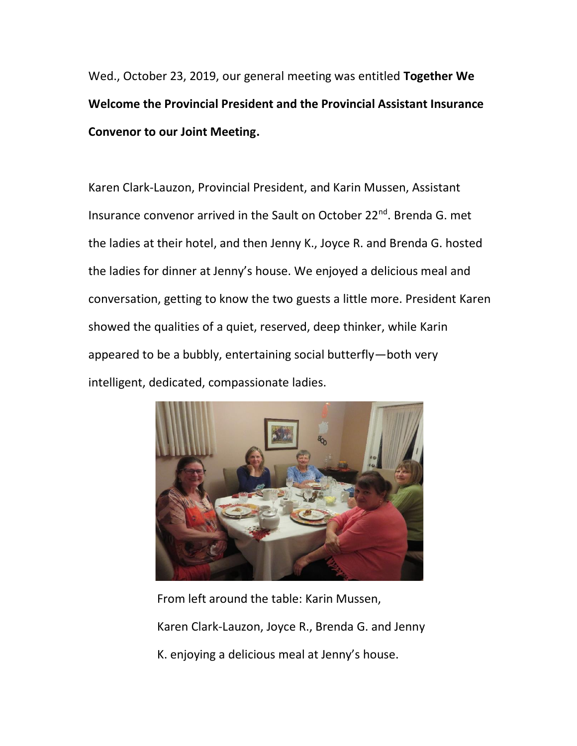Wed., October 23, 2019, our general meeting was entitled **Together We Welcome the Provincial President and the Provincial Assistant Insurance Convenor to our Joint Meeting.**

Karen Clark-Lauzon, Provincial President, and Karin Mussen, Assistant Insurance convenor arrived in the Sault on October 22<sup>nd</sup>. Brenda G. met the ladies at their hotel, and then Jenny K., Joyce R. and Brenda G. hosted the ladies for dinner at Jenny's house. We enjoyed a delicious meal and conversation, getting to know the two guests a little more. President Karen showed the qualities of a quiet, reserved, deep thinker, while Karin appeared to be a bubbly, entertaining social butterfly—both very intelligent, dedicated, compassionate ladies.



 From left around the table: Karin Mussen, Karen Clark-Lauzon, Joyce R., Brenda G. and Jenny K. enjoying a delicious meal at Jenny's house.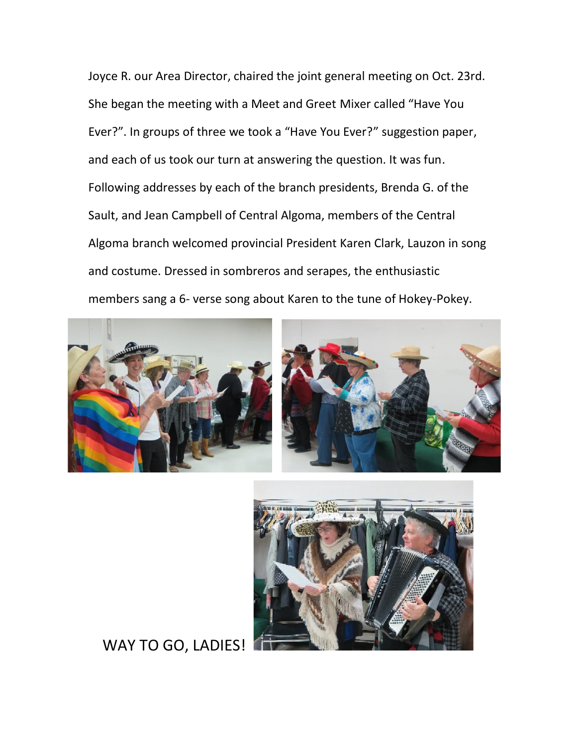Joyce R. our Area Director, chaired the joint general meeting on Oct. 23rd. She began the meeting with a Meet and Greet Mixer called "Have You Ever?". In groups of three we took a "Have You Ever?" suggestion paper, and each of us took our turn at answering the question. It was fun. Following addresses by each of the branch presidents, Brenda G. of the Sault, and Jean Campbell of Central Algoma, members of the Central Algoma branch welcomed provincial President Karen Clark, Lauzon in song and costume. Dressed in sombreros and serapes, the enthusiastic members sang a 6- verse song about Karen to the tune of Hokey-Pokey.







### WAY TO GO, LADIES!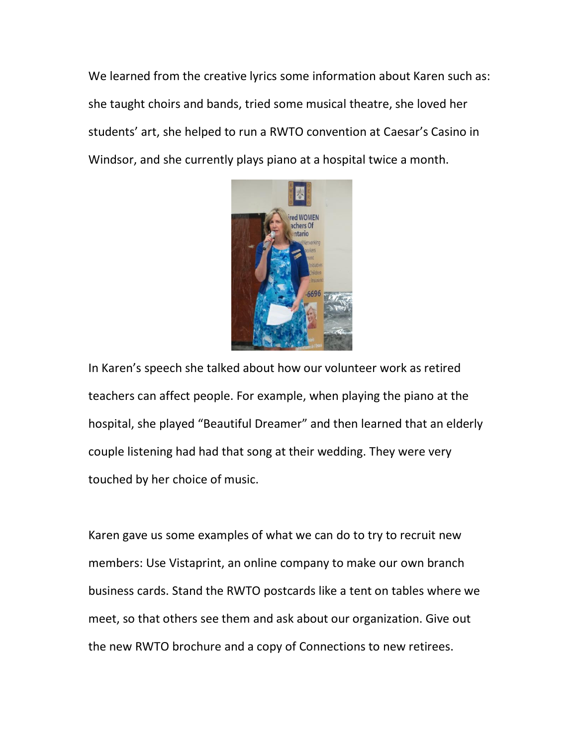We learned from the creative lyrics some information about Karen such as: she taught choirs and bands, tried some musical theatre, she loved her students' art, she helped to run a RWTO convention at Caesar's Casino in Windsor, and she currently plays piano at a hospital twice a month.



In Karen's speech she talked about how our volunteer work as retired teachers can affect people. For example, when playing the piano at the hospital, she played "Beautiful Dreamer" and then learned that an elderly couple listening had had that song at their wedding. They were very touched by her choice of music.

Karen gave us some examples of what we can do to try to recruit new members: Use Vistaprint, an online company to make our own branch business cards. Stand the RWTO postcards like a tent on tables where we meet, so that others see them and ask about our organization. Give out the new RWTO brochure and a copy of Connections to new retirees.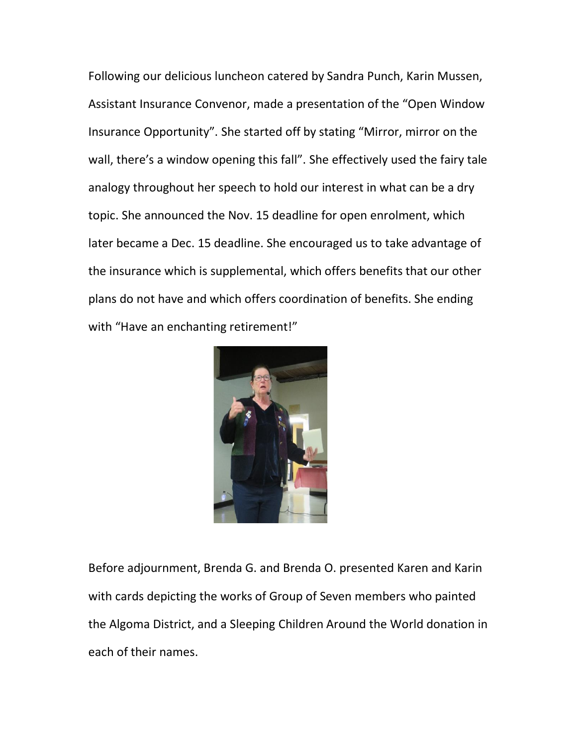Following our delicious luncheon catered by Sandra Punch, Karin Mussen, Assistant Insurance Convenor, made a presentation of the "Open Window Insurance Opportunity". She started off by stating "Mirror, mirror on the wall, there's a window opening this fall". She effectively used the fairy tale analogy throughout her speech to hold our interest in what can be a dry topic. She announced the Nov. 15 deadline for open enrolment, which later became a Dec. 15 deadline. She encouraged us to take advantage of the insurance which is supplemental, which offers benefits that our other plans do not have and which offers coordination of benefits. She ending with "Have an enchanting retirement!"



Before adjournment, Brenda G. and Brenda O. presented Karen and Karin with cards depicting the works of Group of Seven members who painted the Algoma District, and a Sleeping Children Around the World donation in each of their names.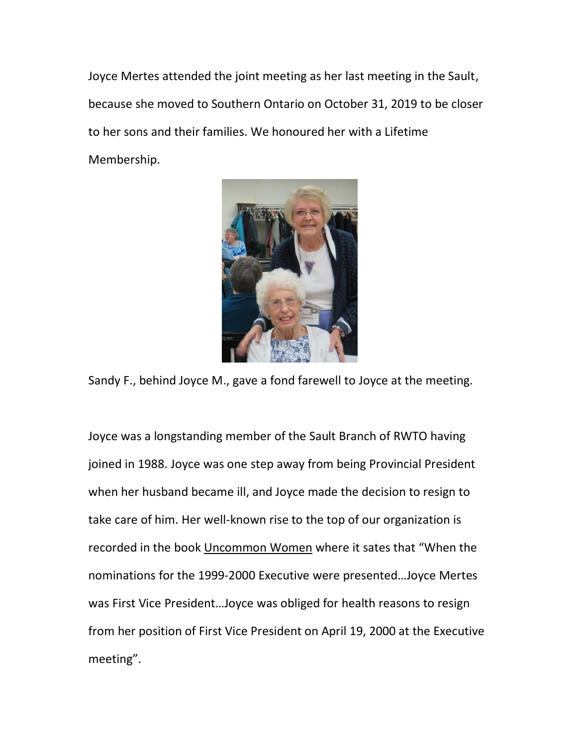Joyce Mertes attended the joint meeting as her last meeting in the Sault, because she moved to Southern Ontario on October 31, 2019 to be closer to her sons and their families. We honoured her with a Lifetime Membership.



Sandy F., behind Joyce M., gave a fond farewell to Joyce at the meeting.

Joyce was a longstanding member of the Sault Branch of RWTO having joined in 1988. Joyce was one step away from being Provincial President when her husband became ill, and Joyce made the decision to resign to take care of him. Her well-known rise to the top of our organization is recorded in the book Uncommon Women where it sates that "When the nominations for the 1999-2000 Executive were presented…Joyce Mertes was First Vice President…Joyce was obliged for health reasons to resign from her position of First Vice President on April 19, 2000 at the Executive meeting".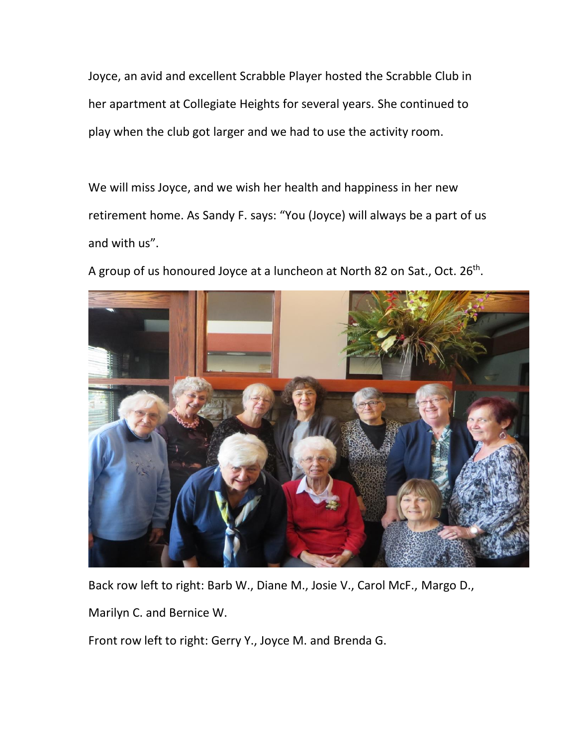Joyce, an avid and excellent Scrabble Player hosted the Scrabble Club in her apartment at Collegiate Heights for several years. She continued to play when the club got larger and we had to use the activity room.

We will miss Joyce, and we wish her health and happiness in her new retirement home. As Sandy F. says: "You (Joyce) will always be a part of us and with us".



A group of us honoured Joyce at a luncheon at North 82 on Sat., Oct. 26<sup>th</sup>.

Back row left to right: Barb W., Diane M., Josie V., Carol McF., Margo D.,

Marilyn C. and Bernice W.

Front row left to right: Gerry Y., Joyce M. and Brenda G.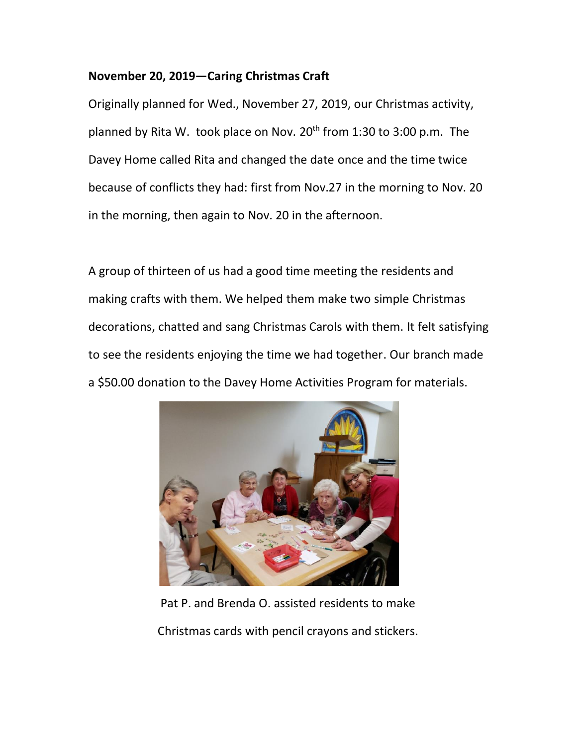#### **November 20, 2019—Caring Christmas Craft**

Originally planned for Wed., November 27, 2019, our Christmas activity, planned by Rita W. took place on Nov.  $20<sup>th</sup>$  from 1:30 to 3:00 p.m. The Davey Home called Rita and changed the date once and the time twice because of conflicts they had: first from Nov.27 in the morning to Nov. 20 in the morning, then again to Nov. 20 in the afternoon.

A group of thirteen of us had a good time meeting the residents and making crafts with them. We helped them make two simple Christmas decorations, chatted and sang Christmas Carols with them. It felt satisfying to see the residents enjoying the time we had together. Our branch made a \$50.00 donation to the Davey Home Activities Program for materials.



 Pat P. and Brenda O. assisted residents to make Christmas cards with pencil crayons and stickers.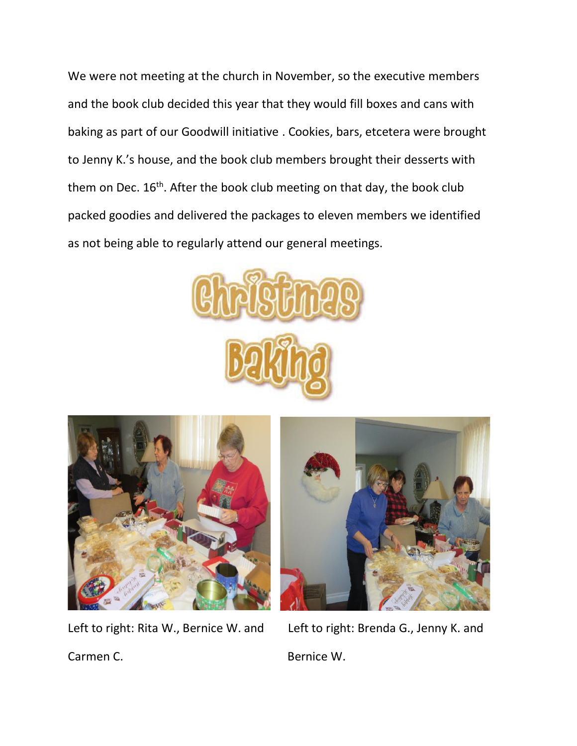We were not meeting at the church in November, so the executive members and the book club decided this year that they would fill boxes and cans with baking as part of our Goodwill initiative . Cookies, bars, etcetera were brought to Jenny K.'s house, and the book club members brought their desserts with them on Dec.  $16<sup>th</sup>$ . After the book club meeting on that day, the book club packed goodies and delivered the packages to eleven members we identified as not being able to regularly attend our general meetings.







Left to right: Rita W., Bernice W. and Left to right: Brenda G., Jenny K. and Carmen C. **Bernice W.** Bernice W.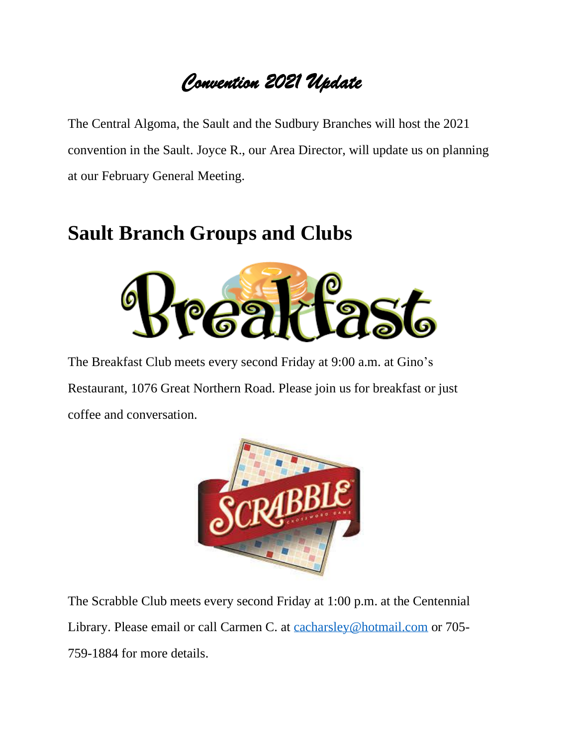# *Convention 2021 Update*

The Central Algoma, the Sault and the Sudbury Branches will host the 2021 convention in the Sault. Joyce R., our Area Director, will update us on planning at our February General Meeting.

# **Sault Branch Groups and Clubs**



The Breakfast Club meets every second Friday at 9:00 a.m. at Gino's Restaurant, 1076 Great Northern Road. Please join us for breakfast or just coffee and conversation.



The Scrabble Club meets every second Friday at 1:00 p.m. at the Centennial Library. Please email or call Carmen C. at [cacharsley@hotmail.com](mailto:cacharsley@hotmail.com) or 705- 759-1884 for more details.